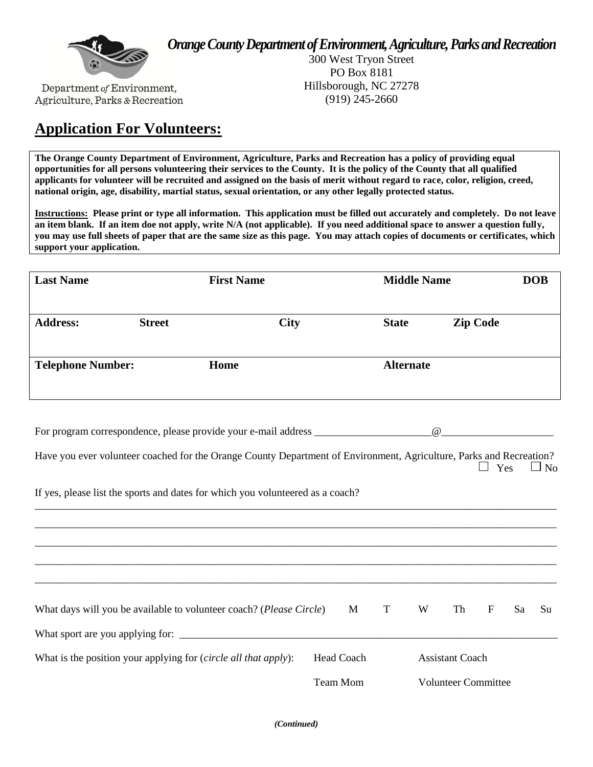*Orange County Department of Environment, Agriculture, Parks and Recreation* 



Department of Environment, Agriculture, Parks & Recreation

300 West Tryon Street PO Box 8181 Hillsborough, NC 27278 (919) 245-2660

# **Application For Volunteers:**

**The Orange County Department of Environment, Agriculture, Parks and Recreation has a policy of providing equal opportunities for all persons volunteering their services to the County. It is the policy of the County that all qualified applicants for volunteer will be recruited and assigned on the basis of merit without regard to race, color, religion, creed, national origin, age, disability, martial status, sexual orientation, or any other legally protected status.**

**Instructions: Please print or type all information. This application must be filled out accurately and completely. Do not leave an item blank. If an item doe not apply, write N/A (not applicable). If you need additional space to answer a question fully, you may use full sheets of paper that are the same size as this page. You may attach copies of documents or certificates, which support your application.** 

| <b>Last Name</b>         |               | <b>First Name</b> |             |                  | <b>Middle Name</b> |  |
|--------------------------|---------------|-------------------|-------------|------------------|--------------------|--|
| <b>Address:</b>          | <b>Street</b> |                   | <b>City</b> | <b>State</b>     | <b>Zip Code</b>    |  |
| <b>Telephone Number:</b> |               | Home              |             | <b>Alternate</b> |                    |  |
|                          |               |                   |             |                  |                    |  |

Have you ever volunteer coached for the Orange County Department of Environment, Agriculture, Parks and Recreation?  $\Box$  Yes  $\Box$  No

\_\_\_\_\_\_\_\_\_\_\_\_\_\_\_\_\_\_\_\_\_\_\_\_\_\_\_\_\_\_\_\_\_\_\_\_\_\_\_\_\_\_\_\_\_\_\_\_\_\_\_\_\_\_\_\_\_\_\_\_\_\_\_\_\_\_\_\_\_\_\_\_\_\_\_\_\_\_\_\_\_\_\_\_\_\_\_\_\_\_\_\_\_\_\_\_\_\_

If yes, please list the sports and dates for which you volunteered as a coach?

For program correspondence, please provide your e-mail address \_\_\_\_\_\_\_\_\_\_\_\_\_\_\_\_\_\_\_\_\_\_@\_\_\_\_\_\_\_\_\_\_\_\_\_\_\_\_\_\_\_\_\_

| What days will you be available to volunteer coach? ( <i>Please Circle</i> ) | M T             | W | Th                         | $\mathbf{F}$ | Sa | Su |
|------------------------------------------------------------------------------|-----------------|---|----------------------------|--------------|----|----|
| What sport are you applying for:                                             |                 |   |                            |              |    |    |
| What is the position your applying for ( <i>circle all that apply</i> ):     | Head Coach      |   | <b>Assistant Coach</b>     |              |    |    |
|                                                                              | <b>Team Mom</b> |   | <b>Volunteer Committee</b> |              |    |    |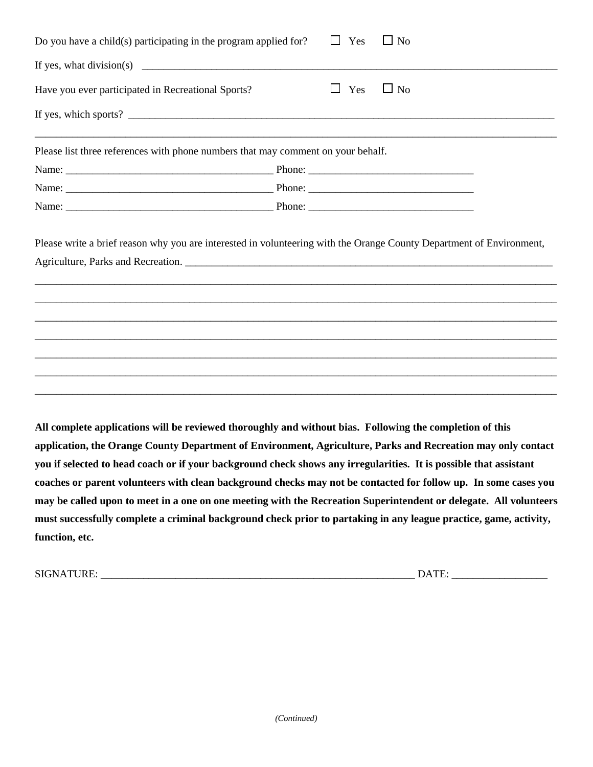| Do you have a child(s) participating in the program applied for?                                         | $\mathbf{L}$ | Yes | $\Box$ No |
|----------------------------------------------------------------------------------------------------------|--------------|-----|-----------|
| If yes, what division(s) $\qquad \qquad$                                                                 |              |     |           |
| Have you ever participated in Recreational Sports?                                                       | $\mathbf{L}$ | Yes | $\Box$ No |
|                                                                                                          |              |     |           |
| Please list three references with phone numbers that may comment on your behalf.                         |              |     |           |
|                                                                                                          |              |     |           |
|                                                                                                          |              |     |           |
|                                                                                                          |              |     |           |
|                                                                                                          |              |     |           |
|                                                                                                          |              |     |           |
|                                                                                                          |              |     |           |
|                                                                                                          |              |     |           |
|                                                                                                          |              |     |           |
|                                                                                                          |              |     |           |
| All complete applications will be reviewed thoroughly and without bias. Following the completion of this |              |     |           |

**application, the Orange County Department of Environment, Agriculture, Parks and Recreation may only contact you if selected to head coach or if your background check shows any irregularities. It is possible that assistant coaches or parent volunteers with clean background checks may not be contacted for follow up. In some cases you may be called upon to meet in a one on one meeting with the Recreation Superintendent or delegate. All volunteers must successfully complete a criminal background check prior to partaking in any league practice, game, activity, function, etc.**

SIGNATURE: \_\_\_\_\_\_\_\_\_\_\_\_\_\_\_\_\_\_\_\_\_\_\_\_\_\_\_\_\_\_\_\_\_\_\_\_\_\_\_\_\_\_\_\_\_\_\_\_\_\_\_\_\_\_\_\_\_\_\_ DATE: \_\_\_\_\_\_\_\_\_\_\_\_\_\_\_\_\_\_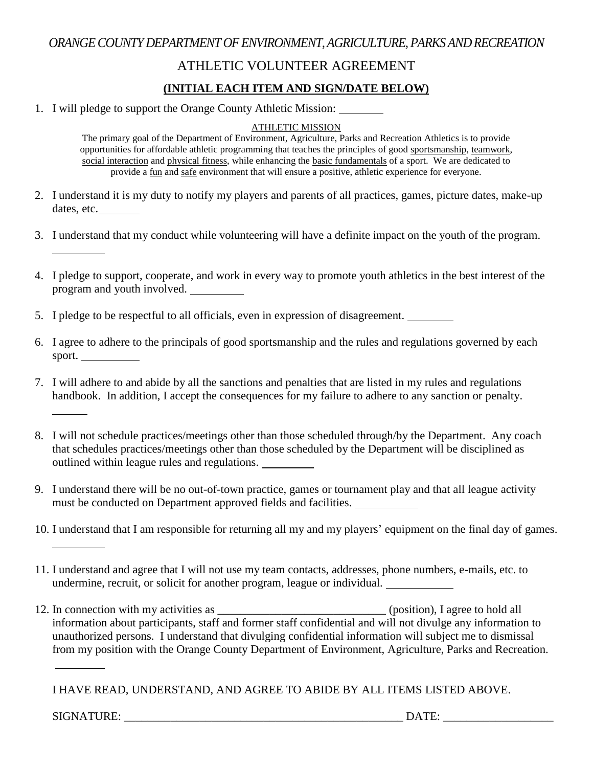### *ORANGE COUNTY DEPARTMENT OF ENVIRONMENT, AGRICULTURE, PARKS AND RECREATION*

### ATHLETIC VOLUNTEER AGREEMENT

### **(INITIAL EACH ITEM AND SIGN/DATE BELOW)**

1. I will pledge to support the Orange County Athletic Mission:

#### ATHLETIC MISSION

The primary goal of the Department of Environment, Agriculture, Parks and Recreation Athletics is to provide opportunities for affordable athletic programming that teaches the principles of good sportsmanship, teamwork, social interaction and physical fitness, while enhancing the basic fundamentals of a sport. We are dedicated to provide a fun and safe environment that will ensure a positive, athletic experience for everyone.

- 2. I understand it is my duty to notify my players and parents of all practices, games, picture dates, make-up dates, etc.
- 3. I understand that my conduct while volunteering will have a definite impact on the youth of the program.
- 4. I pledge to support, cooperate, and work in every way to promote youth athletics in the best interest of the program and youth involved.
- 5. I pledge to be respectful to all officials, even in expression of disagreement.
- 6. I agree to adhere to the principals of good sportsmanship and the rules and regulations governed by each sport.
- 7. I will adhere to and abide by all the sanctions and penalties that are listed in my rules and regulations handbook. In addition, I accept the consequences for my failure to adhere to any sanction or penalty.
- 8. I will not schedule practices/meetings other than those scheduled through/by the Department. Any coach that schedules practices/meetings other than those scheduled by the Department will be disciplined as outlined within league rules and regulations.
- 9. I understand there will be no out-of-town practice, games or tournament play and that all league activity must be conducted on Department approved fields and facilities.
- 10. I understand that I am responsible for returning all my and my players' equipment on the final day of games.
- 11. I understand and agree that I will not use my team contacts, addresses, phone numbers, e-mails, etc. to undermine, recruit, or solicit for another program, league or individual.
- 12. In connection with my activities as \_\_\_\_\_\_\_\_\_\_\_\_\_\_\_\_\_\_\_\_\_\_\_\_\_\_\_\_\_ (position), I agree to hold all information about participants, staff and former staff confidential and will not divulge any information to unauthorized persons. I understand that divulging confidential information will subject me to dismissal from my position with the Orange County Department of Environment, Agriculture, Parks and Recreation.

I HAVE READ, UNDERSTAND, AND AGREE TO ABIDE BY ALL ITEMS LISTED ABOVE.

SIGNATURE: \_\_\_\_\_\_\_\_\_\_\_\_\_\_\_\_\_\_\_\_\_\_\_\_\_\_\_\_\_\_\_\_\_\_\_\_\_\_\_\_\_\_\_\_\_\_\_\_ DATE: \_\_\_\_\_\_\_\_\_\_\_\_\_\_\_\_\_\_\_